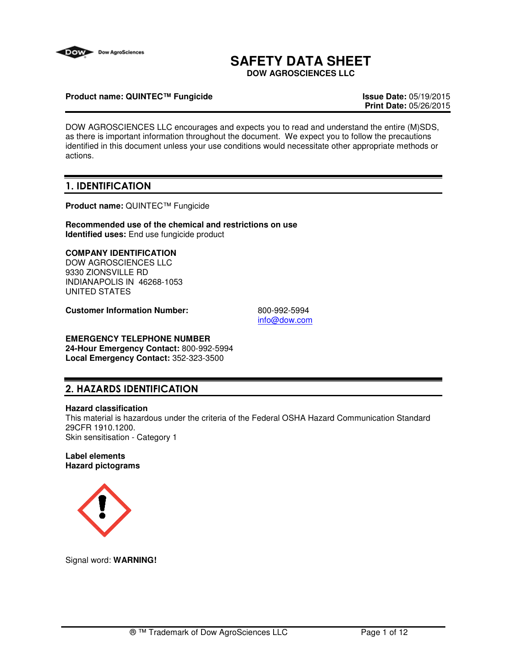

# **SAFETY DATA SHEET**

**DOW AGROSCIENCES LLC**

### **Product name: QUINTEC™ Fungicide Issue Date:** 05/19/2015

**Print Date:** 05/26/2015

DOW AGROSCIENCES LLC encourages and expects you to read and understand the entire (M)SDS, as there is important information throughout the document. We expect you to follow the precautions identified in this document unless your use conditions would necessitate other appropriate methods or actions.

# 1. IDENTIFICATION

**Product name:** QUINTEC™ Fungicide

**Recommended use of the chemical and restrictions on use Identified uses:** End use fungicide product

### **COMPANY IDENTIFICATION**

DOW AGROSCIENCES LLC 9330 ZIONSVILLE RD INDIANAPOLIS IN 46268-1053 UNITED STATES

**Customer Information Number:** 800-992-5994

info@dow.com

# **EMERGENCY TELEPHONE NUMBER**

**24-Hour Emergency Contact:** 800-992-5994 **Local Emergency Contact:** 352-323-3500

# 2. HAZARDS IDENTIFICATION

### **Hazard classification**

This material is hazardous under the criteria of the Federal OSHA Hazard Communication Standard 29CFR 1910.1200. Skin sensitisation - Category 1

### **Label elements Hazard pictograms**



Signal word: **WARNING!**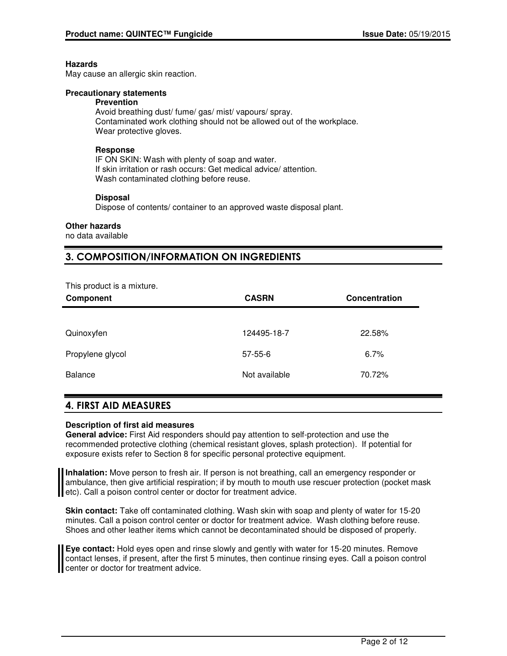### **Hazards**

May cause an allergic skin reaction.

### **Precautionary statements**

#### **Prevention**

Avoid breathing dust/ fume/ gas/ mist/ vapours/ spray. Contaminated work clothing should not be allowed out of the workplace. Wear protective gloves.

### **Response**

IF ON SKIN: Wash with plenty of soap and water. If skin irritation or rash occurs: Get medical advice/ attention. Wash contaminated clothing before reuse.

### **Disposal**

Dispose of contents/ container to an approved waste disposal plant.

### **Other hazards**

no data available

# 3. COMPOSITION/INFORMATION ON INGREDIENTS

| This product is a mixture. |
|----------------------------|
|----------------------------|

| Component        | <b>CASRN</b>  | <b>Concentration</b> |
|------------------|---------------|----------------------|
|                  |               |                      |
| Quinoxyfen       | 124495-18-7   | 22.58%               |
| Propylene glycol | $57 - 55 - 6$ | 6.7%                 |
| <b>Balance</b>   | Not available | 70.72%               |

# 4. FIRST AID MEASURES

### **Description of first aid measures**

**General advice:** First Aid responders should pay attention to self-protection and use the recommended protective clothing (chemical resistant gloves, splash protection). If potential for exposure exists refer to Section 8 for specific personal protective equipment.

**Inhalation:** Move person to fresh air. If person is not breathing, call an emergency responder or ambulance, then give artificial respiration; if by mouth to mouth use rescuer protection (pocket mask etc). Call a poison control center or doctor for treatment advice.

**Skin contact:** Take off contaminated clothing. Wash skin with soap and plenty of water for 15-20 minutes. Call a poison control center or doctor for treatment advice. Wash clothing before reuse. Shoes and other leather items which cannot be decontaminated should be disposed of properly.

**Eye contact:** Hold eyes open and rinse slowly and gently with water for 15-20 minutes. Remove contact lenses, if present, after the first 5 minutes, then continue rinsing eyes. Call a poison control center or doctor for treatment advice.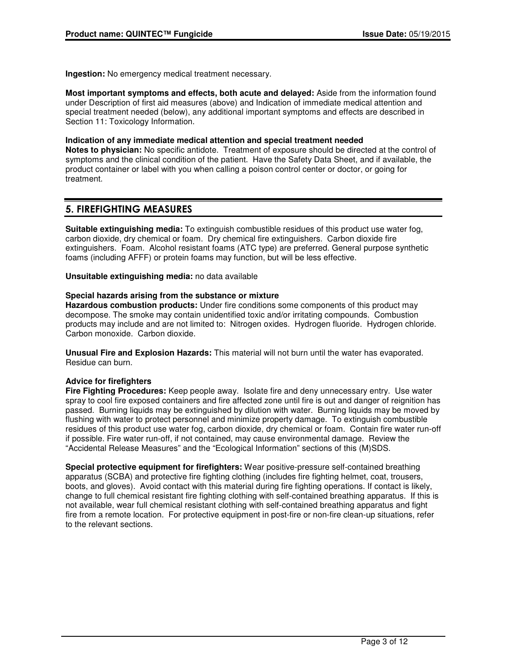**Ingestion:** No emergency medical treatment necessary.

**Most important symptoms and effects, both acute and delayed:** Aside from the information found under Description of first aid measures (above) and Indication of immediate medical attention and special treatment needed (below), any additional important symptoms and effects are described in Section 11: Toxicology Information.

### **Indication of any immediate medical attention and special treatment needed**

**Notes to physician:** No specific antidote. Treatment of exposure should be directed at the control of symptoms and the clinical condition of the patient. Have the Safety Data Sheet, and if available, the product container or label with you when calling a poison control center or doctor, or going for treatment.

### 5. FIREFIGHTING MEASURES

**Suitable extinguishing media:** To extinguish combustible residues of this product use water fog, carbon dioxide, dry chemical or foam. Dry chemical fire extinguishers. Carbon dioxide fire extinguishers. Foam. Alcohol resistant foams (ATC type) are preferred. General purpose synthetic foams (including AFFF) or protein foams may function, but will be less effective.

**Unsuitable extinguishing media:** no data available

### **Special hazards arising from the substance or mixture**

**Hazardous combustion products:** Under fire conditions some components of this product may decompose. The smoke may contain unidentified toxic and/or irritating compounds. Combustion products may include and are not limited to: Nitrogen oxides. Hydrogen fluoride. Hydrogen chloride. Carbon monoxide. Carbon dioxide.

**Unusual Fire and Explosion Hazards:** This material will not burn until the water has evaporated. Residue can burn.

### **Advice for firefighters**

**Fire Fighting Procedures:** Keep people away. Isolate fire and deny unnecessary entry. Use water spray to cool fire exposed containers and fire affected zone until fire is out and danger of reignition has passed. Burning liquids may be extinguished by dilution with water. Burning liquids may be moved by flushing with water to protect personnel and minimize property damage. To extinguish combustible residues of this product use water fog, carbon dioxide, dry chemical or foam. Contain fire water run-off if possible. Fire water run-off, if not contained, may cause environmental damage. Review the "Accidental Release Measures" and the "Ecological Information" sections of this (M)SDS.

**Special protective equipment for firefighters:** Wear positive-pressure self-contained breathing apparatus (SCBA) and protective fire fighting clothing (includes fire fighting helmet, coat, trousers, boots, and gloves). Avoid contact with this material during fire fighting operations. If contact is likely, change to full chemical resistant fire fighting clothing with self-contained breathing apparatus. If this is not available, wear full chemical resistant clothing with self-contained breathing apparatus and fight fire from a remote location. For protective equipment in post-fire or non-fire clean-up situations, refer to the relevant sections.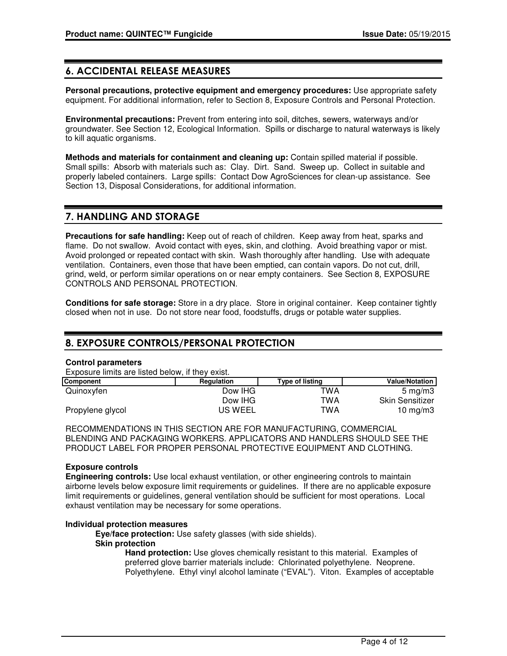# 6. ACCIDENTAL RELEASE MEASURES

**Personal precautions, protective equipment and emergency procedures:** Use appropriate safety equipment. For additional information, refer to Section 8, Exposure Controls and Personal Protection.

**Environmental precautions:** Prevent from entering into soil, ditches, sewers, waterways and/or groundwater. See Section 12, Ecological Information. Spills or discharge to natural waterways is likely to kill aquatic organisms.

**Methods and materials for containment and cleaning up:** Contain spilled material if possible. Small spills: Absorb with materials such as: Clay. Dirt. Sand. Sweep up. Collect in suitable and properly labeled containers. Large spills: Contact Dow AgroSciences for clean-up assistance. See Section 13, Disposal Considerations, for additional information.

### 7. HANDLING AND STORAGE

**Precautions for safe handling:** Keep out of reach of children. Keep away from heat, sparks and flame. Do not swallow. Avoid contact with eyes, skin, and clothing. Avoid breathing vapor or mist. Avoid prolonged or repeated contact with skin. Wash thoroughly after handling. Use with adequate ventilation. Containers, even those that have been emptied, can contain vapors. Do not cut, drill, grind, weld, or perform similar operations on or near empty containers. See Section 8, EXPOSURE CONTROLS AND PERSONAL PROTECTION.

**Conditions for safe storage:** Store in a dry place. Store in original container. Keep container tightly closed when not in use. Do not store near food, foodstuffs, drugs or potable water supplies.

# 8. EXPOSURE CONTROLS/PERSONAL PROTECTION

### **Control parameters**

Exposure limits are listed below, if they exist.

| Component        | <b>Regulation</b> | <b>Type of listing</b> | <b>Value/Notation</b>  |
|------------------|-------------------|------------------------|------------------------|
| Quinoxyfen       | Dow IHG           | TWA                    | $5 \text{ ma/m}$       |
|                  | Dow IHG           | TWA                    | <b>Skin Sensitizer</b> |
| Propylene glycol | <b>US WEEL</b>    | TWA                    | 10 $mq/m3$             |

RECOMMENDATIONS IN THIS SECTION ARE FOR MANUFACTURING, COMMERCIAL BLENDING AND PACKAGING WORKERS. APPLICATORS AND HANDLERS SHOULD SEE THE PRODUCT LABEL FOR PROPER PERSONAL PROTECTIVE EQUIPMENT AND CLOTHING.

### **Exposure controls**

**Engineering controls:** Use local exhaust ventilation, or other engineering controls to maintain airborne levels below exposure limit requirements or guidelines. If there are no applicable exposure limit requirements or guidelines, general ventilation should be sufficient for most operations. Local exhaust ventilation may be necessary for some operations.

### **Individual protection measures**

**Eye/face protection:** Use safety glasses (with side shields). **Skin protection**

**Hand protection:** Use gloves chemically resistant to this material. Examples of preferred glove barrier materials include: Chlorinated polyethylene. Neoprene. Polyethylene. Ethyl vinyl alcohol laminate ("EVAL"). Viton. Examples of acceptable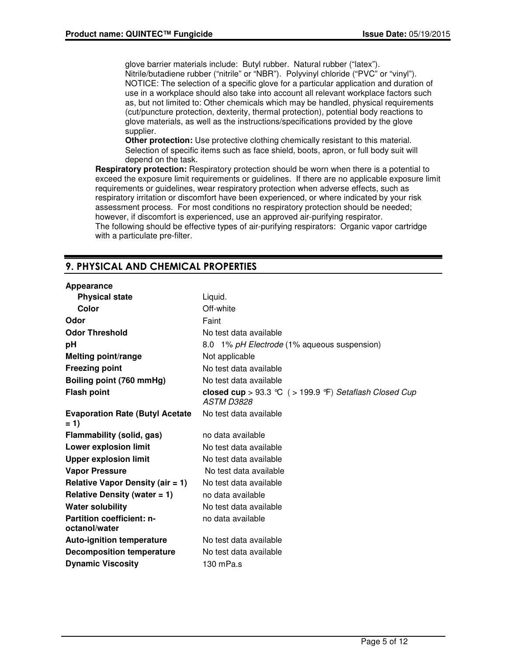glove barrier materials include: Butyl rubber. Natural rubber ("latex"). Nitrile/butadiene rubber ("nitrile" or "NBR"). Polyvinyl chloride ("PVC" or "vinyl"). NOTICE: The selection of a specific glove for a particular application and duration of use in a workplace should also take into account all relevant workplace factors such as, but not limited to: Other chemicals which may be handled, physical requirements (cut/puncture protection, dexterity, thermal protection), potential body reactions to glove materials, as well as the instructions/specifications provided by the glove supplier.

**Other protection:** Use protective clothing chemically resistant to this material. Selection of specific items such as face shield, boots, apron, or full body suit will depend on the task.

**Respiratory protection:** Respiratory protection should be worn when there is a potential to exceed the exposure limit requirements or guidelines. If there are no applicable exposure limit requirements or guidelines, wear respiratory protection when adverse effects, such as respiratory irritation or discomfort have been experienced, or where indicated by your risk assessment process. For most conditions no respiratory protection should be needed; however, if discomfort is experienced, use an approved air-purifying respirator. The following should be effective types of air-purifying respirators: Organic vapor cartridge with a particulate pre-filter.

# 9. PHYSICAL AND CHEMICAL PROPERTIES

### **Appearance**

| Appearance                                        |                                                                         |
|---------------------------------------------------|-------------------------------------------------------------------------|
| <b>Physical state</b>                             | Liquid.                                                                 |
| Color                                             | Off-white                                                               |
| Odor                                              | Faint                                                                   |
| <b>Odor Threshold</b>                             | No test data available                                                  |
| рH                                                | 8.0 1% pH Electrode (1% aqueous suspension)                             |
| <b>Melting point/range</b>                        | Not applicable                                                          |
| <b>Freezing point</b>                             | No test data available                                                  |
| Boiling point (760 mmHg)                          | No test data available                                                  |
| <b>Flash point</b>                                | closed cup > 93.3 °C $($ > 199.9 °F) Setaflash Closed Cup<br>ASTM D3828 |
| <b>Evaporation Rate (Butyl Acetate)</b><br>$= 1$  | No test data available                                                  |
| Flammability (solid, gas)                         | no data available                                                       |
| Lower explosion limit                             | No test data available                                                  |
| <b>Upper explosion limit</b>                      | No test data available                                                  |
| <b>Vapor Pressure</b>                             | No test data available                                                  |
| <b>Relative Vapor Density (air = 1)</b>           | No test data available                                                  |
| Relative Density (water $= 1$ )                   | no data available                                                       |
| <b>Water solubility</b>                           | No test data available                                                  |
| <b>Partition coefficient: n-</b><br>octanol/water | no data available                                                       |
| <b>Auto-ignition temperature</b>                  | No test data available                                                  |
| <b>Decomposition temperature</b>                  | No test data available                                                  |
| <b>Dynamic Viscosity</b>                          | 130 mPa.s                                                               |
|                                                   |                                                                         |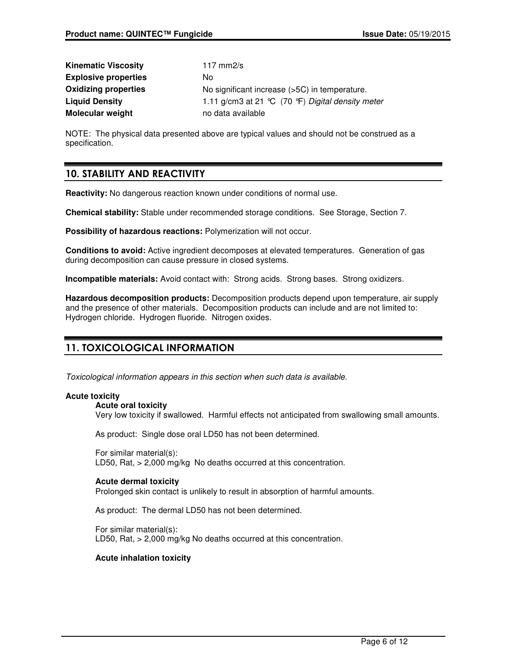| <b>Kinematic Viscosity</b>  | 117 mm $2/s$                                      |
|-----------------------------|---------------------------------------------------|
| <b>Explosive properties</b> | No.                                               |
| <b>Oxidizing properties</b> | No significant increase (>5C) in temperature.     |
| <b>Liquid Density</b>       | 1.11 g/cm3 at 21 °C (70 °F) Digital density meter |
| <b>Molecular weight</b>     | no data available                                 |

NOTE: The physical data presented above are typical values and should not be construed as a specification.

# 10. STABILITY AND REACTIVITY

**Reactivity:** No dangerous reaction known under conditions of normal use.

**Chemical stability:** Stable under recommended storage conditions. See Storage, Section 7.

**Possibility of hazardous reactions:** Polymerization will not occur.

**Conditions to avoid:** Active ingredient decomposes at elevated temperatures. Generation of gas during decomposition can cause pressure in closed systems.

**Incompatible materials:** Avoid contact with: Strong acids. Strong bases. Strong oxidizers.

**Hazardous decomposition products:** Decomposition products depend upon temperature, air supply and the presence of other materials. Decomposition products can include and are not limited to: Hydrogen chloride. Hydrogen fluoride. Nitrogen oxides.

# 11. TOXICOLOGICAL INFORMATION

Toxicological information appears in this section when such data is available.

### **Acute toxicity**

### **Acute oral toxicity**

Very low toxicity if swallowed. Harmful effects not anticipated from swallowing small amounts.

As product: Single dose oral LD50 has not been determined.

For similar material(s): LD50, Rat, > 2,000 mg/kg No deaths occurred at this concentration.

### **Acute dermal toxicity**

Prolonged skin contact is unlikely to result in absorption of harmful amounts.

As product: The dermal LD50 has not been determined.

For similar material(s): LD50, Rat, > 2,000 mg/kg No deaths occurred at this concentration.

### **Acute inhalation toxicity**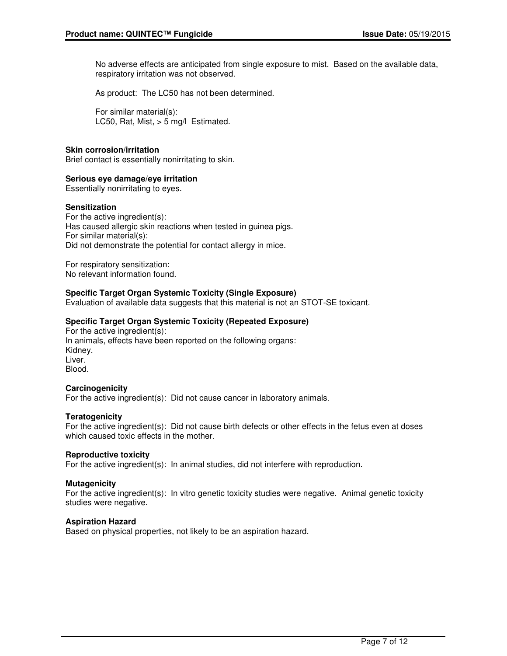No adverse effects are anticipated from single exposure to mist. Based on the available data, respiratory irritation was not observed.

As product: The LC50 has not been determined.

For similar material(s): LC50, Rat, Mist, > 5 mg/l Estimated.

### **Skin corrosion/irritation**

Brief contact is essentially nonirritating to skin.

### **Serious eye damage/eye irritation**

Essentially nonirritating to eyes.

### **Sensitization**

For the active ingredient(s): Has caused allergic skin reactions when tested in guinea pigs. For similar material(s): Did not demonstrate the potential for contact allergy in mice.

For respiratory sensitization: No relevant information found.

### **Specific Target Organ Systemic Toxicity (Single Exposure)**

Evaluation of available data suggests that this material is not an STOT-SE toxicant.

### **Specific Target Organ Systemic Toxicity (Repeated Exposure)**

For the active ingredient(s): In animals, effects have been reported on the following organs: Kidney. Liver. Blood.

### **Carcinogenicity**

For the active ingredient(s): Did not cause cancer in laboratory animals.

### **Teratogenicity**

For the active ingredient(s): Did not cause birth defects or other effects in the fetus even at doses which caused toxic effects in the mother

### **Reproductive toxicity**

For the active ingredient(s): In animal studies, did not interfere with reproduction.

### **Mutagenicity**

For the active ingredient(s): In vitro genetic toxicity studies were negative. Animal genetic toxicity studies were negative.

### **Aspiration Hazard**

Based on physical properties, not likely to be an aspiration hazard.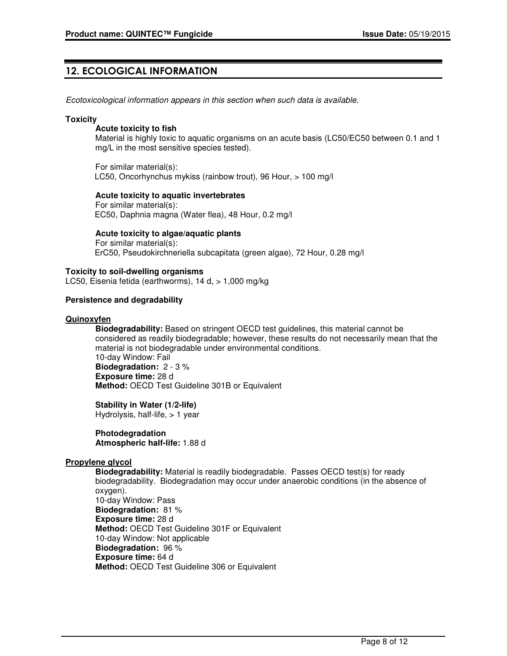# 12. ECOLOGICAL INFORMATION

Ecotoxicological information appears in this section when such data is available.

#### **Toxicity**

### **Acute toxicity to fish**

Material is highly toxic to aquatic organisms on an acute basis (LC50/EC50 between 0.1 and 1 mg/L in the most sensitive species tested).

For similar material(s): LC50, Oncorhynchus mykiss (rainbow trout), 96 Hour, > 100 mg/l

### **Acute toxicity to aquatic invertebrates**

For similar material(s): EC50, Daphnia magna (Water flea), 48 Hour, 0.2 mg/l

**Acute toxicity to algae/aquatic plants**

For similar material(s): ErC50, Pseudokirchneriella subcapitata (green algae), 72 Hour, 0.28 mg/l

### **Toxicity to soil-dwelling organisms**

LC50, Eisenia fetida (earthworms), 14 d, > 1,000 mg/kg

### **Persistence and degradability**

### **Quinoxyfen**

**Biodegradability:** Based on stringent OECD test guidelines, this material cannot be considered as readily biodegradable; however, these results do not necessarily mean that the material is not biodegradable under environmental conditions. 10-day Window: Fail **Biodegradation:** 2 - 3 % **Exposure time:** 28 d **Method:** OECD Test Guideline 301B or Equivalent

**Stability in Water (1/2-life)** Hydrolysis, half-life, > 1 year

#### **Photodegradation Atmospheric half-life:** 1.88 d

### **Propylene glycol**

**Biodegradability:** Material is readily biodegradable. Passes OECD test(s) for ready biodegradability. Biodegradation may occur under anaerobic conditions (in the absence of oxygen). 10-day Window: Pass **Biodegradation:** 81 % **Exposure time:** 28 d **Method:** OECD Test Guideline 301F or Equivalent 10-day Window: Not applicable **Biodegradation:** 96 % **Exposure time:** 64 d **Method:** OECD Test Guideline 306 or Equivalent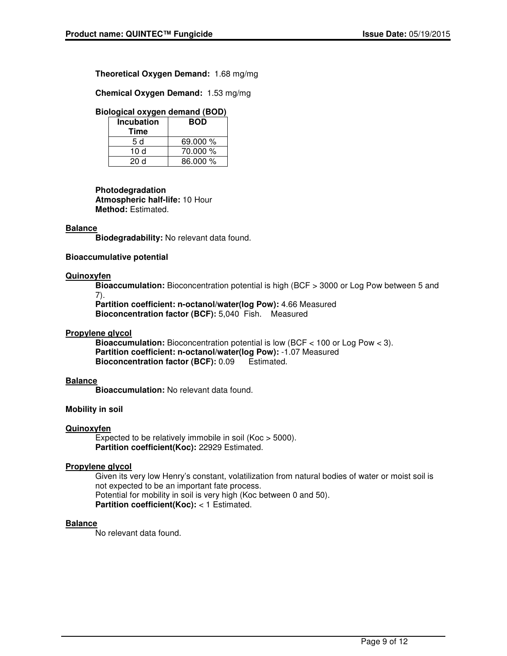**Theoretical Oxygen Demand:** 1.68 mg/mg

**Chemical Oxygen Demand:** 1.53 mg/mg

### **Biological oxygen demand (BOD)**

| <b>Incubation</b> | <b>BOD</b> |  |
|-------------------|------------|--|
| Time              |            |  |
| 5 d               | 69.000 %   |  |
| 10 d              | 70.000 %   |  |
| 20 d              | 86.000 %   |  |

**Photodegradation Atmospheric half-life:** 10 Hour **Method:** Estimated.

### **Balance**

**Biodegradability:** No relevant data found.

### **Bioaccumulative potential**

### **Quinoxyfen**

**Bioaccumulation:** Bioconcentration potential is high (BCF > 3000 or Log Pow between 5 and 7).

**Partition coefficient: n-octanol/water(log Pow):** 4.66 Measured **Bioconcentration factor (BCF):** 5,040 Fish. Measured

### **Propylene glycol**

**Bioaccumulation:** Bioconcentration potential is low (BCF < 100 or Log Pow < 3). **Partition coefficient: n-octanol/water(log Pow):** -1.07 Measured **Bioconcentration factor (BCF):** 0.09 Estimated.

### **Balance**

**Bioaccumulation:** No relevant data found.

### **Mobility in soil**

### **Quinoxyfen**

Expected to be relatively immobile in soil (Koc > 5000). **Partition coefficient(Koc):** 22929 Estimated.

### **Propylene glycol**

Given its very low Henry's constant, volatilization from natural bodies of water or moist soil is not expected to be an important fate process. Potential for mobility in soil is very high (Koc between 0 and 50). **Partition coefficient(Koc):** < 1 Estimated.

### **Balance**

No relevant data found.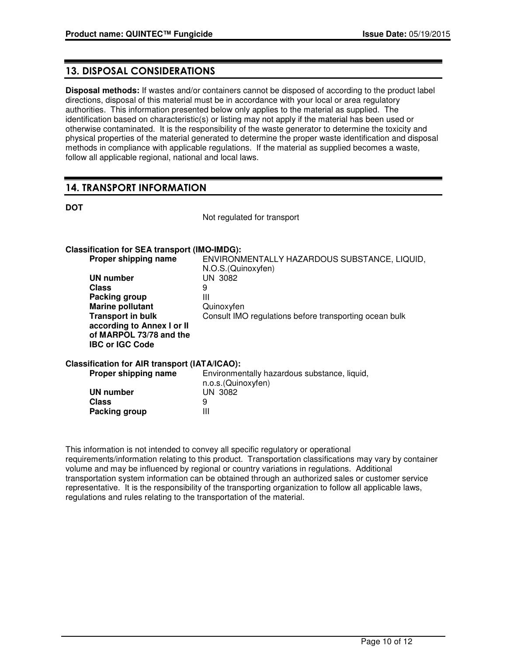# 13. DISPOSAL CONSIDERATIONS

**Disposal methods:** If wastes and/or containers cannot be disposed of according to the product label directions, disposal of this material must be in accordance with your local or area regulatory authorities. This information presented below only applies to the material as supplied. The identification based on characteristic(s) or listing may not apply if the material has been used or otherwise contaminated. It is the responsibility of the waste generator to determine the toxicity and physical properties of the material generated to determine the proper waste identification and disposal methods in compliance with applicable regulations. If the material as supplied becomes a waste, follow all applicable regional, national and local laws.

# 14. TRANSPORT INFORMATION

**DOT**

Not regulated for transport

### **Classification for SEA transport (IMO-IMDG):**

| Proper shipping name                                                            | ENVIRONMENTALLY HAZARDOUS SUBSTANCE, LIQUID,<br>N.O.S. (Quinoxyfen) |
|---------------------------------------------------------------------------------|---------------------------------------------------------------------|
| UN number                                                                       | UN 3082                                                             |
| <b>Class</b>                                                                    | 9                                                                   |
| Packing group                                                                   | Ш                                                                   |
| <b>Marine pollutant</b>                                                         | Quinoxyfen                                                          |
| <b>Transport in bulk</b>                                                        | Consult IMO regulations before transporting ocean bulk              |
| according to Annex I or II<br>of MARPOL 73/78 and the<br><b>IBC or IGC Code</b> |                                                                     |
| Classification for AIR transport (IATA/ICAO):                                   |                                                                     |
| Proper shipping name                                                            | Environmentally hazardous substance, liquid,                        |
| UN number                                                                       | n.o.s. (Quinoxyfen)<br><b>UN 3082</b>                               |
|                                                                                 |                                                                     |

**Class** 9 **Packing group** III This information is not intended to convey all specific regulatory or operational

requirements/information relating to this product. Transportation classifications may vary by container volume and may be influenced by regional or country variations in regulations. Additional transportation system information can be obtained through an authorized sales or customer service representative. It is the responsibility of the transporting organization to follow all applicable laws, regulations and rules relating to the transportation of the material.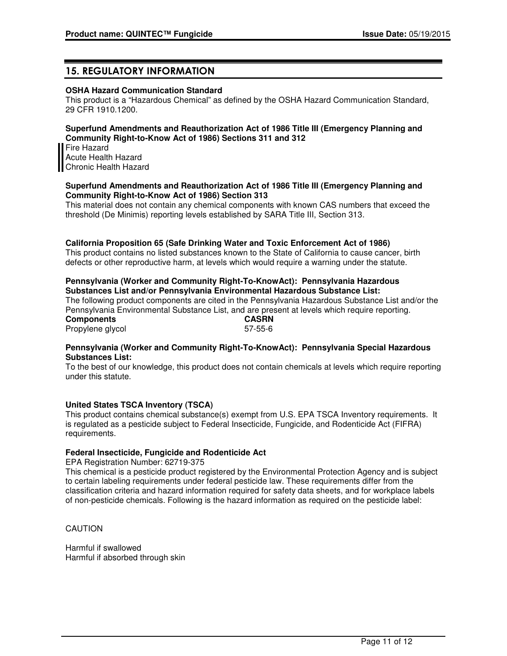# 15. REGULATORY INFORMATION

### **OSHA Hazard Communication Standard**

This product is a "Hazardous Chemical" as defined by the OSHA Hazard Communication Standard, 29 CFR 1910.1200.

### **Superfund Amendments and Reauthorization Act of 1986 Title III (Emergency Planning and Community Right-to-Know Act of 1986) Sections 311 and 312**

Fire Hazard Acute Health Hazard Chronic Health Hazard

### **Superfund Amendments and Reauthorization Act of 1986 Title III (Emergency Planning and Community Right-to-Know Act of 1986) Section 313**

This material does not contain any chemical components with known CAS numbers that exceed the threshold (De Minimis) reporting levels established by SARA Title III, Section 313.

### **California Proposition 65 (Safe Drinking Water and Toxic Enforcement Act of 1986)**

This product contains no listed substances known to the State of California to cause cancer, birth defects or other reproductive harm, at levels which would require a warning under the statute.

### **Pennsylvania (Worker and Community Right-To-KnowAct): Pennsylvania Hazardous Substances List and/or Pennsylvania Environmental Hazardous Substance List:**

The following product components are cited in the Pennsylvania Hazardous Substance List and/or the Pennsylvania Environmental Substance List, and are present at levels which require reporting.<br> **CASRN** 

**Components** Propylene glycol 57-55-6

### **Pennsylvania (Worker and Community Right-To-KnowAct): Pennsylvania Special Hazardous Substances List:**

To the best of our knowledge, this product does not contain chemicals at levels which require reporting under this statute.

### **United States TSCA Inventory (TSCA)**

This product contains chemical substance(s) exempt from U.S. EPA TSCA Inventory requirements. It is regulated as a pesticide subject to Federal Insecticide, Fungicide, and Rodenticide Act (FIFRA) requirements.

### **Federal Insecticide, Fungicide and Rodenticide Act**

EPA Registration Number: 62719-375

This chemical is a pesticide product registered by the Environmental Protection Agency and is subject to certain labeling requirements under federal pesticide law. These requirements differ from the classification criteria and hazard information required for safety data sheets, and for workplace labels of non-pesticide chemicals. Following is the hazard information as required on the pesticide label:

CAUTION

Harmful if swallowed Harmful if absorbed through skin